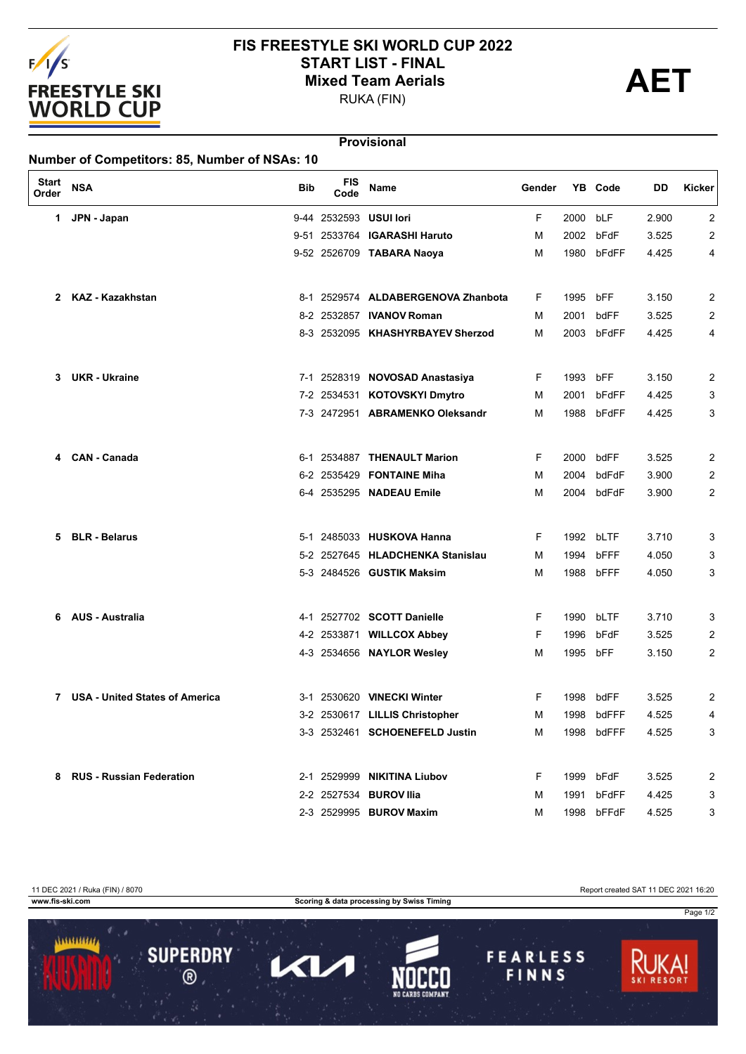

## **FIS FREESTYLE SKI WORLD CUP 2022** START LIST - FINAL<br>
Mixed Team Aerials<br>
PUKA (FIN)

RUKA (FIN)

Page 1/2

## **Provisional**

| <b>Start</b><br>Order | <b>NSA</b>                            | <b>Bib</b> | <b>FIS</b><br>Code | Name                               | Gender |      | YB Code    | DD    | Kicker |
|-----------------------|---------------------------------------|------------|--------------------|------------------------------------|--------|------|------------|-------|--------|
| 1.                    | JPN - Japan                           |            |                    | 9-44 2532593 USUI lori             | F      | 2000 | bLF        | 2.900 | 2      |
|                       |                                       |            |                    | 9-51 2533764 IGARASHI Haruto       | м      | 2002 | bFdF       | 3.525 | 2      |
|                       |                                       |            |                    | 9-52 2526709 TABARA Naoya          | M      | 1980 | bFdFF      | 4.425 | 4      |
| 2                     | <b>KAZ - Kazakhstan</b>               |            |                    | 8-1 2529574 ALDABERGENOVA Zhanbota | F.     | 1995 | bFF        | 3.150 | 2      |
|                       |                                       |            |                    | 8-2 2532857 <b>IVANOV Roman</b>    | м      | 2001 | bdFF       | 3.525 | 2      |
|                       |                                       |            |                    | 8-3 2532095 KHASHYRBAYEV Sherzod   | М      | 2003 | bFdFF      | 4.425 | 4      |
| 3.                    | <b>UKR - Ukraine</b>                  |            |                    | 7-1 2528319 NOVOSAD Anastasiya     | F      | 1993 | bFF        | 3.150 | 2      |
|                       |                                       |            | 7-2 2534531        | <b>KOTOVSKYI Dmytro</b>            | м      | 2001 | bFdFF      | 4.425 | 3      |
|                       |                                       |            |                    | 7-3 2472951 ABRAMENKO Oleksandr    | М      | 1988 | bFdFF      | 4.425 | 3      |
| 4                     | <b>CAN - Canada</b>                   |            |                    | 6-1 2534887 THENAULT Marion        | F      | 2000 | bdFF       | 3.525 | 2      |
|                       |                                       |            |                    | 6-2 2535429 FONTAINE Miha          | м      | 2004 | bdFdF      | 3.900 | 2      |
|                       |                                       |            |                    | 6-4 2535295 NADEAU Emile           | М      | 2004 | bdFdF      | 3.900 | 2      |
| 5                     | <b>BLR - Belarus</b>                  |            |                    | 5-1 2485033 HUSKOVA Hanna          | F      | 1992 | bLTF       | 3.710 | 3      |
|                       |                                       |            |                    | 5-2 2527645 HLADCHENKA Stanislau   | м      | 1994 | bFFF       | 4.050 | 3      |
|                       |                                       |            |                    | 5-3 2484526 GUSTIK Maksim          | м      | 1988 | bFFF       | 4.050 | 3      |
| 6.                    | <b>AUS - Australia</b>                |            |                    | 4-1 2527702 SCOTT Danielle         | F.     | 1990 | bLTF       | 3.710 | 3      |
|                       |                                       |            |                    | 4-2 2533871 WILLCOX Abbey          | F      | 1996 | bFdF       | 3.525 | 2      |
|                       |                                       |            |                    | 4-3 2534656 NAYLOR Wesley          | M      | 1995 | bFF        | 3.150 | 2      |
| 7                     | <b>USA - United States of America</b> |            |                    | 3-1 2530620 VINECKI Winter         | F.     | 1998 | bdFF       | 3.525 | 2      |
|                       |                                       |            |                    | 3-2 2530617 LILLIS Christopher     | M      | 1998 | bdFFF      | 4.525 | 4      |
|                       |                                       |            |                    | 3-3 2532461 SCHOENEFELD Justin     | M      |      | 1998 bdFFF | 4.525 | 3      |
|                       | 8 RUS - Russian Federation            |            |                    | 2-1 2529999 NIKITINA Liubov        | F.     |      | 1999 bFdF  | 3.525 | 2      |
|                       |                                       |            |                    | 2-2 2527534 BUROV Ilia             | м      |      | 1991 bFdFF | 4.425 | 3      |
|                       |                                       |            |                    | 2-3 2529995 BUROV Maxim            | М      |      | 1998 bFFdF | 4.525 | 3      |

11 DEC 2021 / Ruka (FIN) / 8070<br>
www.fis-ski.com Report created SAT 11 DEC 2021 16:20 **Scoring & data processing by Swiss Timing** 1111111111 **SUPERDRY FEARLESS** 7  $\mathbf{Z}$ FINNS  $\overline{\circledcirc}$